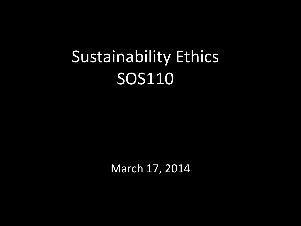# Sustainability Ethics SOS110

March 17, 2014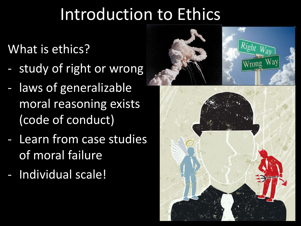## Introduction to Ethics

What is ethics?

- study of right or wrong
- laws of generalizable moral reasoning exists (code of conduct)
- Learn from case studies of moral failure
- Individual scale!

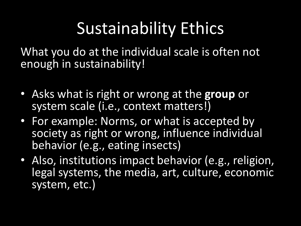# Sustainability Ethics

What you do at the individual scale is often not enough in sustainability!

- Asks what is right or wrong at the **group** or system scale (i.e., context matters!)
- For example: Norms, or what is accepted by society as right or wrong, influence individual behavior (e.g., eating insects)
- Also, institutions impact behavior (e.g., religion, legal systems, the media, art, culture, economic system, etc.)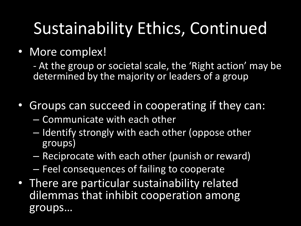# Sustainability Ethics, Continued

### • More complex!

- At the group or societal scale, the 'Right action' may be determined by the majority or leaders of a group

- Groups can succeed in cooperating if they can:
	- Communicate with each other
	- Identify strongly with each other (oppose other groups)
	- Reciprocate with each other (punish or reward)
	- Feel consequences of failing to cooperate
- There are particular sustainability related dilemmas that inhibit cooperation among groups…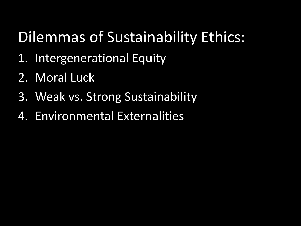### Dilemmas of Sustainability Ethics:

- 1. Intergenerational Equity
- 2. Moral Luck
- 3. Weak vs. Strong Sustainability
- 4. Environmental Externalities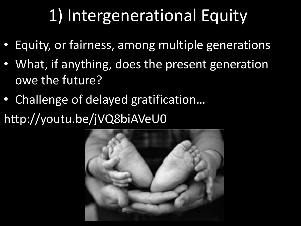# 1) Intergenerational Equity

- Equity, or fairness, among multiple generations
- What, if anything, does the present generation owe the future?
- Challenge of delayed gratification…
- http://youtu.be/jVQ8biAVeU0

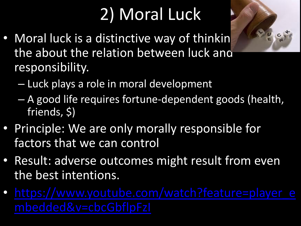# 2) Moral Luck

- 
- Moral luck is a distinctive way of thinkin the about the relation between luck and responsibility.
	- Luck plays a role in moral development
	- A good life requires fortune-dependent goods (health, friends, \$)
- Principle: We are only morally responsible for factors that we can control
- Result: adverse out[c](https://www.youtube.com/watch?feature=player_embedded&v=cbcGbflpFzI)omes might result from even the best intentions.
- [https://www.youtube.com/watch?feature=player\\_e](https://www.youtube.com/watch?feature=player_embedded&v=cbcGbflpFzI)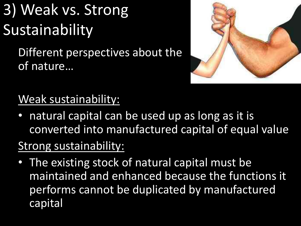# 3) Weak vs. Strong Sustainability

Different perspectives about the of nature…



### Weak sustainability:

natural capital can be used up as long as it is converted into manufactured capital of equal value.

### Strong sustainability:

• The existing stock of natural capital must be maintained and enhanced because the functions it performs cannot be duplicated by manufactured capital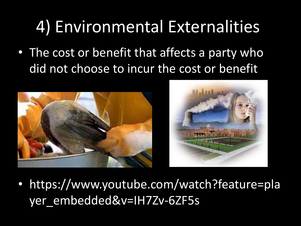## 4) Environmental Externalities

• The cost or benefit that affects a party who did not choose to incur the cost or benefit



• https://www.youtube.com/watch?feature=pla yer\_embedded&v=IH7Zv-6ZF5s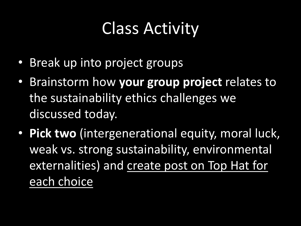# Class Activity

- Break up into project groups
- Brainstorm how **your group project** relates to the sustainability ethics challenges we discussed today.
- **Pick two** (intergenerational equity, moral luck, weak vs. strong sustainability, environmental externalities) and create post on Top Hat for each choice